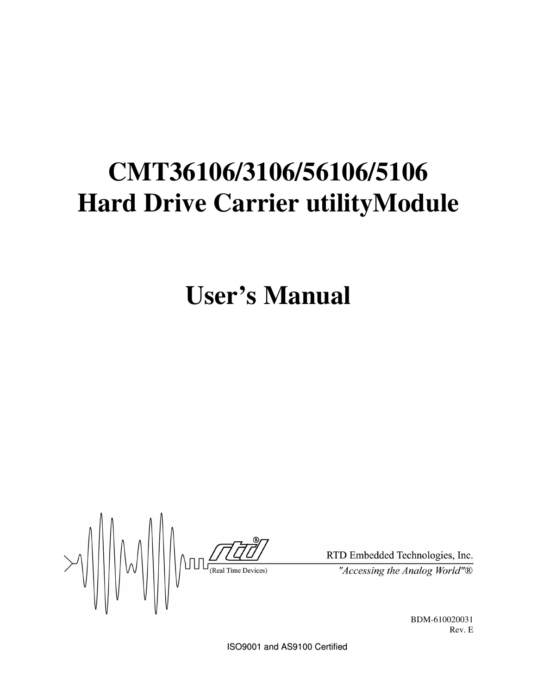# **CMT36106/3106/56106/5106 Hard Drive Carrier utilityModule**

**User's Manual**

 $\frac{1}{\frac{1}{\sqrt{1-\frac{1}{\sqrt{1-\frac{1}{\sqrt{1-\frac{1}{\sqrt{1-\frac{1}{\sqrt{1-\frac{1}{\sqrt{1-\frac{1}{\sqrt{1-\frac{1}{\sqrt{1-\frac{1}{\sqrt{1-\frac{1}{\sqrt{1-\frac{1}{\sqrt{1-\frac{1}{\sqrt{1-\frac{1}{\sqrt{1-\frac{1}{\sqrt{1-\frac{1}{\sqrt{1-\frac{1}{\sqrt{1-\frac{1}{\sqrt{1-\frac{1}{\sqrt{1-\frac{1}{\sqrt{1-\frac{1}{\sqrt{1-\frac{1}{\sqrt{1-\frac{1}{\sqrt{1-\frac{1}{\sqrt{1-\frac{1}{\sqrt{$ 

RTD Embedded Technologies, Inc. "Accessing the Analog World" $\overline{\mathbb{B}}$ 

> BDM-610020031 Rev. E

ISO9001 and AS9100 Certified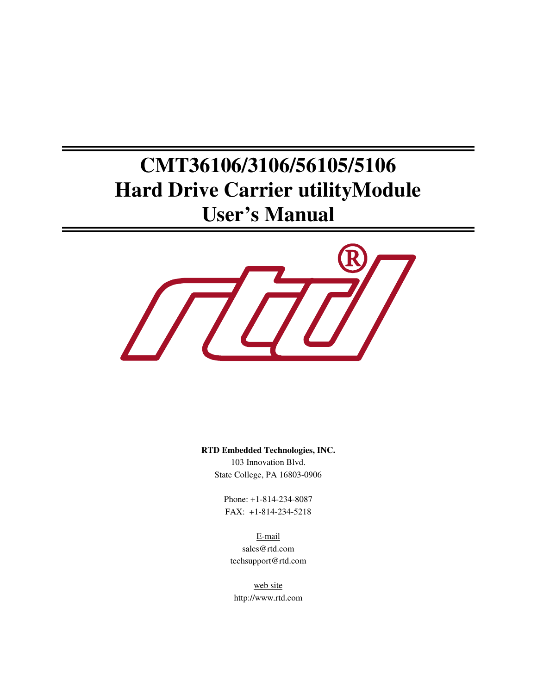# **CMT36106/3106/56105/5106 Hard Drive Carrier utilityModule User's Manual**



**RTD Embedded Technologies, INC.**

103 Innovation Blvd. State College, PA 16803-0906

Phone: +1-814-234-8087 FAX: +1-814-234-5218

E-mail sales@rtd.com techsupport@rtd.com

web site http://www.rtd.com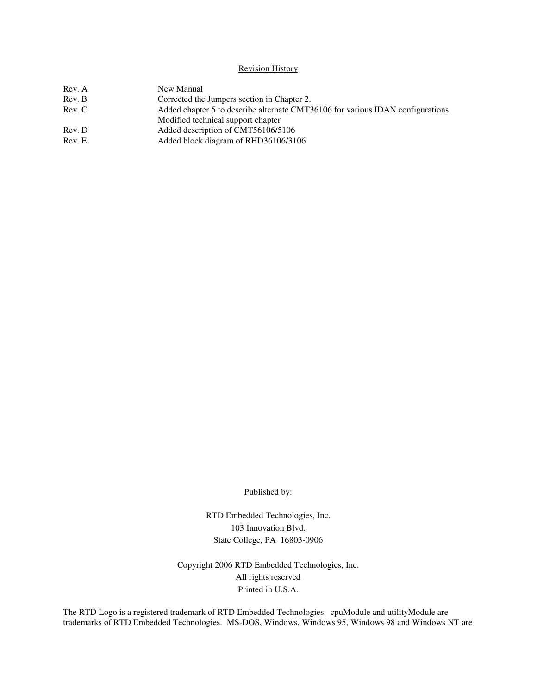#### Revision History

| Rev. A | New Manual                                                                     |
|--------|--------------------------------------------------------------------------------|
| Rev. B | Corrected the Jumpers section in Chapter 2.                                    |
| Rev. C | Added chapter 5 to describe alternate CMT36106 for various IDAN configurations |
|        | Modified technical support chapter                                             |
| Rev. D | Added description of CMT56106/5106                                             |
| Rev. E | Added block diagram of RHD36106/3106                                           |

Published by:

RTD Embedded Technologies, Inc. 103 Innovation Blvd. State College, PA 16803-0906

Copyright 2006 RTD Embedded Technologies, Inc. All rights reserved Printed in U.S.A.

The RTD Logo is a registered trademark of RTD Embedded Technologies. cpuModule and utilityModule are trademarks of RTD Embedded Technologies. MS-DOS, Windows, Windows 95, Windows 98 and Windows NT are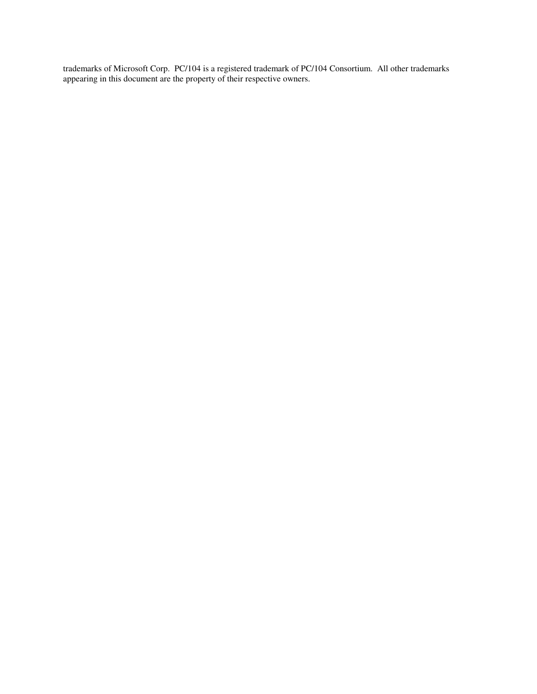trademarks of Microsoft Corp. PC/104 is a registered trademark of PC/104 Consortium. All other trademarks appearing in this document are the property of their respective owners.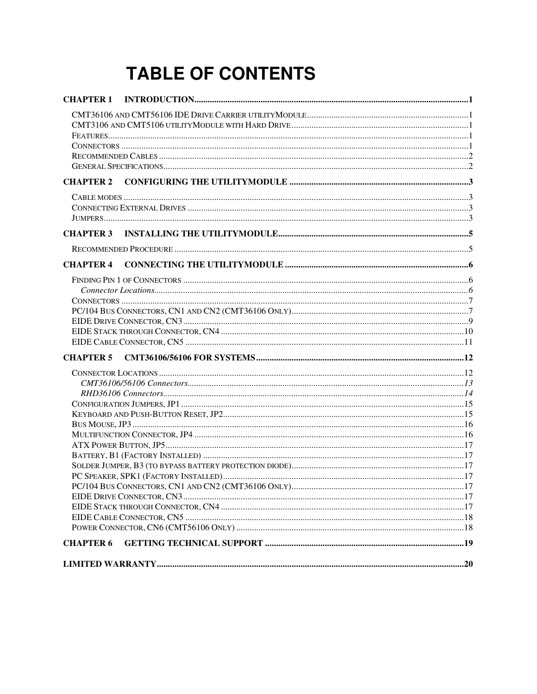# **TABLE OF CONTENTS**

| <b>CHAPTER 5</b> |
|------------------|
|                  |
|                  |
|                  |
|                  |
|                  |
|                  |
|                  |
|                  |
|                  |
|                  |
|                  |
|                  |
|                  |
|                  |
|                  |
| <b>CHAPTER 6</b> |
|                  |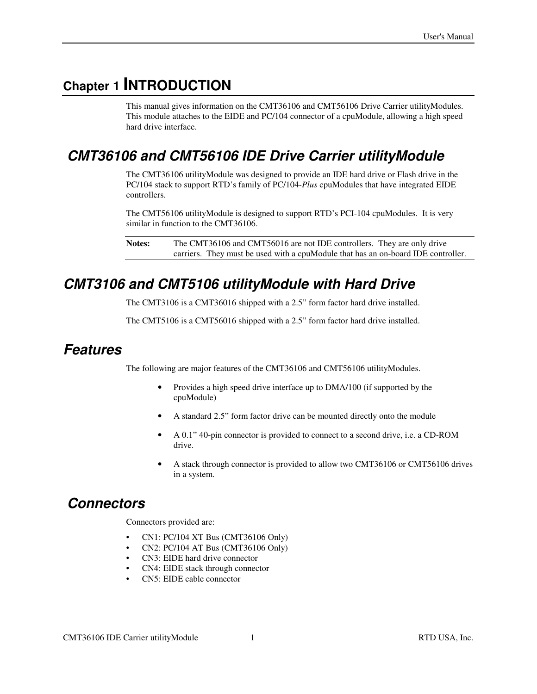# **Chapter 1 INTRODUCTION**

This manual gives information on the CMT36106 and CMT56106 Drive Carrier utilityModules. This module attaches to the EIDE and PC/104 connector of a cpuModule, allowing a high speed hard drive interface.

# *CMT36106 and CMT56106 IDE Drive Carrier utilityModule*

The CMT36106 utilityModule was designed to provide an IDE hard drive or Flash drive in the PC/104 stack to support RTD's family of PC/104-*Plus* cpuModules that have integrated EIDE controllers.

The CMT56106 utilityModule is designed to support RTD's PCI-104 cpuModules. It is very similar in function to the CMT36106.

**Notes:** The CMT36106 and CMT56016 are not IDE controllers. They are only drive carriers. They must be used with a cpuModule that has an on-board IDE controller.

### *CMT3106 and CMT5106 utilityModule with Hard Drive*

The CMT3106 is a CMT36016 shipped with a 2.5" form factor hard drive installed.

The CMT5106 is a CMT56016 shipped with a 2.5" form factor hard drive installed.

#### *Features*

The following are major features of the CMT36106 and CMT56106 utilityModules.

- Provides a high speed drive interface up to DMA/100 (if supported by the cpuModule)
- A standard 2.5" form factor drive can be mounted directly onto the module
- A 0.1" 40-pin connector is provided to connect to a second drive, i.e. a CD-ROM drive.
- A stack through connector is provided to allow two CMT36106 or CMT56106 drives in a system.

#### *Connectors*

Connectors provided are:

- CN1: PC/104 XT Bus (CMT36106 Only)
- CN2: PC/104 AT Bus (CMT36106 Only)
- CN3: EIDE hard drive connector
- CN4: EIDE stack through connector
- CN5: EIDE cable connector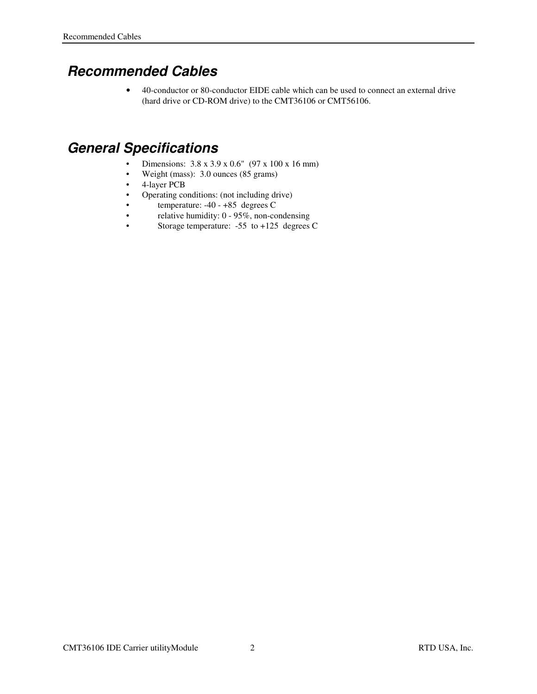# *Recommended Cables*

• 40-conductor or 80-conductor EIDE cable which can be used to connect an external drive (hard drive or CD-ROM drive) to the CMT36106 or CMT56106.

# *General Specifications*

- Dimensions: 3.8 x 3.9 x 0.6" (97 x 100 x 16 mm)
- Weight (mass): 3.0 ounces (85 grams)
- 4-layer PCB
- Operating conditions: (not including drive)
- temperature: -40 +85 degrees C
- relative humidity: 0 95%, non-condensing
- Storage temperature:  $-55$  to  $+125$  degrees C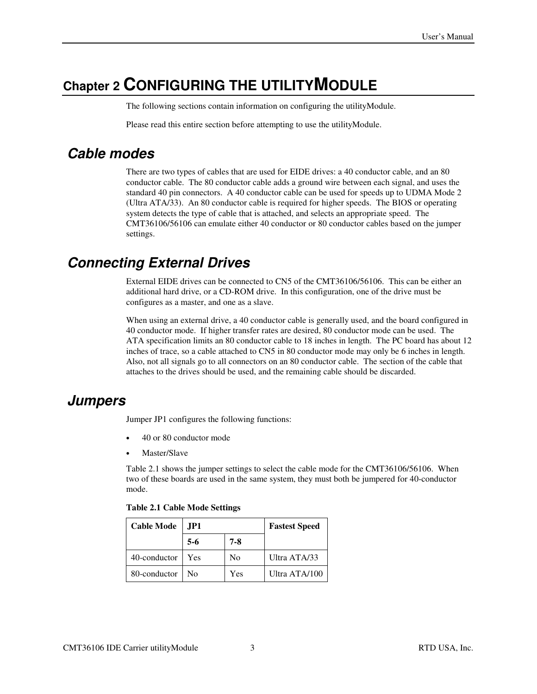# **Chapter 2 CONFIGURING THE UTILITYMODULE**

The following sections contain information on configuring the utilityModule.

Please read this entire section before attempting to use the utilityModule.

#### *Cable modes*

There are two types of cables that are used for EIDE drives: a 40 conductor cable, and an 80 conductor cable. The 80 conductor cable adds a ground wire between each signal, and uses the standard 40 pin connectors. A 40 conductor cable can be used for speeds up to UDMA Mode 2 (Ultra ATA/33). An 80 conductor cable is required for higher speeds. The BIOS or operating system detects the type of cable that is attached, and selects an appropriate speed. The CMT36106/56106 can emulate either 40 conductor or 80 conductor cables based on the jumper settings.

# *Connecting External Drives*

External EIDE drives can be connected to CN5 of the CMT36106/56106. This can be either an additional hard drive, or a CD-ROM drive. In this configuration, one of the drive must be configures as a master, and one as a slave.

When using an external drive, a 40 conductor cable is generally used, and the board configured in 40 conductor mode. If higher transfer rates are desired, 80 conductor mode can be used. The ATA specification limits an 80 conductor cable to 18 inches in length. The PC board has about 12 inches of trace, so a cable attached to CN5 in 80 conductor mode may only be 6 inches in length. Also, not all signals go to all connectors on an 80 conductor cable. The section of the cable that attaches to the drives should be used, and the remaining cable should be discarded.

#### *Jumpers*

Jumper JP1 configures the following functions:

- 40 or 80 conductor mode
- Master/Slave

Table 2.1 shows the jumper settings to select the cable mode for the CMT36106/56106. When two of these boards are used in the same system, they must both be jumpered for 40-conductor mode.

| <b>Table 2.1 Cable Mode Settings</b> |  |  |  |
|--------------------------------------|--|--|--|
|--------------------------------------|--|--|--|

| <b>Cable Mode</b> | JP1.  |                | <b>Fastest Speed</b> |
|-------------------|-------|----------------|----------------------|
|                   | $5-6$ | 7-8            |                      |
| 40-conductor      | Yes   | N <sub>0</sub> | Ultra ATA/33         |
| 80-conductor      | Nο    | Yes            | Ultra ATA/100        |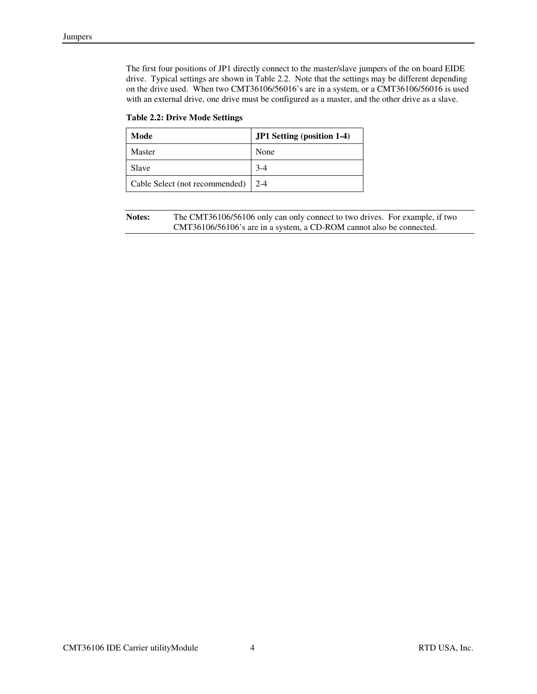The first four positions of JP1 directly connect to the master/slave jumpers of the on board EIDE drive. Typical settings are shown in Table 2.2. Note that the settings may be different depending on the drive used. When two CMT36106/56016's are in a system, or a CMT36106/56016 is used with an external drive, one drive must be configured as a master, and the other drive as a slave.

| <b>Table 2.2: Drive Mode Settings</b> |
|---------------------------------------|
|---------------------------------------|

| Mode                           | <b>JP1</b> Setting (position 1-4) |
|--------------------------------|-----------------------------------|
| Master                         | None                              |
| Slave                          | $3-4$                             |
| Cable Select (not recommended) | $2 - 4$                           |

| Notes: | The CMT36106/56106 only can only connect to two drives. For example, if two |
|--------|-----------------------------------------------------------------------------|
|        | CMT36106/56106's are in a system, a CD-ROM cannot also be connected.        |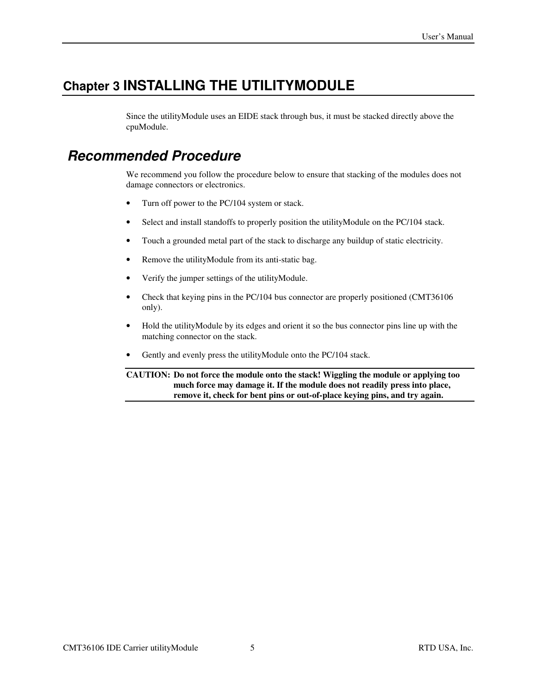# **Chapter 3 INSTALLING THE UTILITYMODULE**

Since the utilityModule uses an EIDE stack through bus, it must be stacked directly above the cpuModule.

## *Recommended Procedure*

We recommend you follow the procedure below to ensure that stacking of the modules does not damage connectors or electronics.

- Turn off power to the PC/104 system or stack.
- Select and install standoffs to properly position the utilityModule on the PC/104 stack.
- Touch a grounded metal part of the stack to discharge any buildup of static electricity.
- Remove the utility Module from its anti-static bag.
- Verify the jumper settings of the utilityModule.
- Check that keying pins in the PC/104 bus connector are properly positioned (CMT36106) only).
- Hold the utility Module by its edges and orient it so the bus connector pins line up with the matching connector on the stack.
- Gently and evenly press the utilityModule onto the PC/104 stack.

#### **CAUTION: Do not force the module onto the stack! Wiggling the module or applying too much force may damage it. If the module does not readily press into place, remove it, check for bent pins or out-of-place keying pins, and try again.**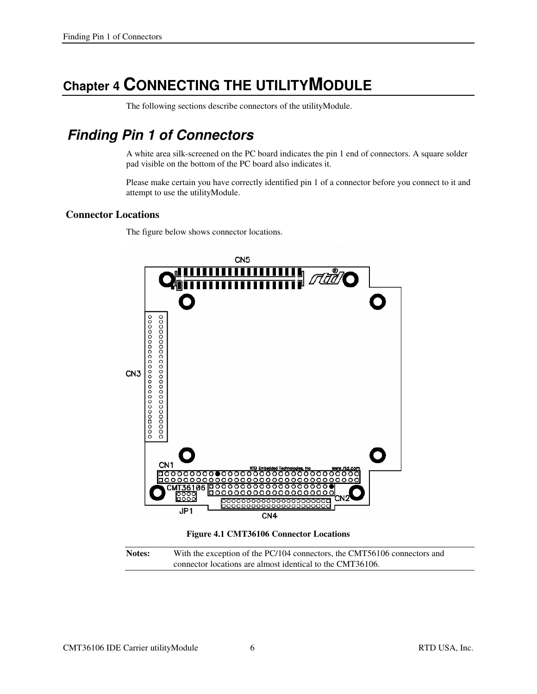# **Chapter 4 CONNECTING THE UTILITYMODULE**

The following sections describe connectors of the utilityModule.

# *Finding Pin 1 of Connectors*

A white area silk-screened on the PC board indicates the pin 1 end of connectors. A square solder pad visible on the bottom of the PC board also indicates it.

Please make certain you have correctly identified pin 1 of a connector before you connect to it and attempt to use the utilityModule.

#### **Connector Locations**

The figure below shows connector locations.



**Notes:** With the exception of the PC/104 connectors, the CMT56106 connectors and connector locations are almost identical to the CMT36106.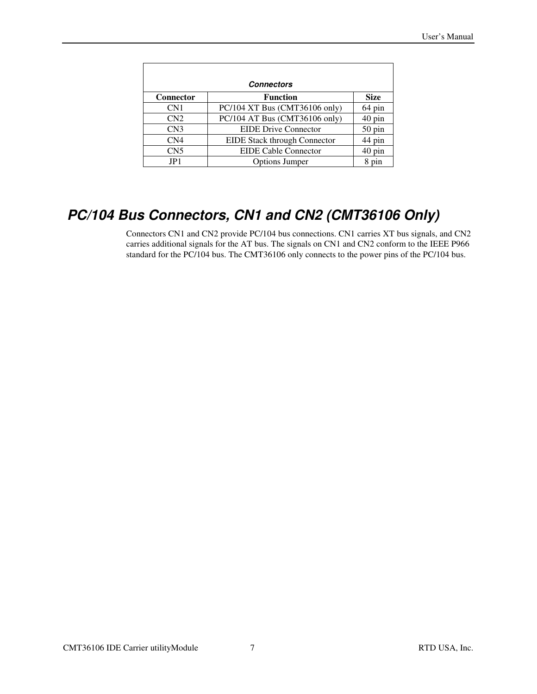| <b>Connectors</b> |                                     |                  |  |
|-------------------|-------------------------------------|------------------|--|
| <b>Connector</b>  | <b>Function</b>                     | <b>Size</b>      |  |
| CN <sub>1</sub>   | PC/104 XT Bus (CMT36106 only)       | 64 pin           |  |
| CN2               | PC/104 AT Bus (CMT36106 only)       | $40 \text{ pin}$ |  |
| CN <sub>3</sub>   | <b>EIDE Drive Connector</b>         | $50$ pin         |  |
| CN <sub>4</sub>   | <b>EIDE Stack through Connector</b> | 44 pin           |  |
| CN <sub>5</sub>   | <b>EIDE Cable Connector</b>         | $40 \text{ pin}$ |  |
| JP1               | <b>Options Jumper</b>               | pin              |  |

# *PC/104 Bus Connectors, CN1 and CN2 (CMT36106 Only)*

Connectors CN1 and CN2 provide PC/104 bus connections. CN1 carries XT bus signals, and CN2 carries additional signals for the AT bus. The signals on CN1 and CN2 conform to the IEEE P966 standard for the PC/104 bus. The CMT36106 only connects to the power pins of the PC/104 bus.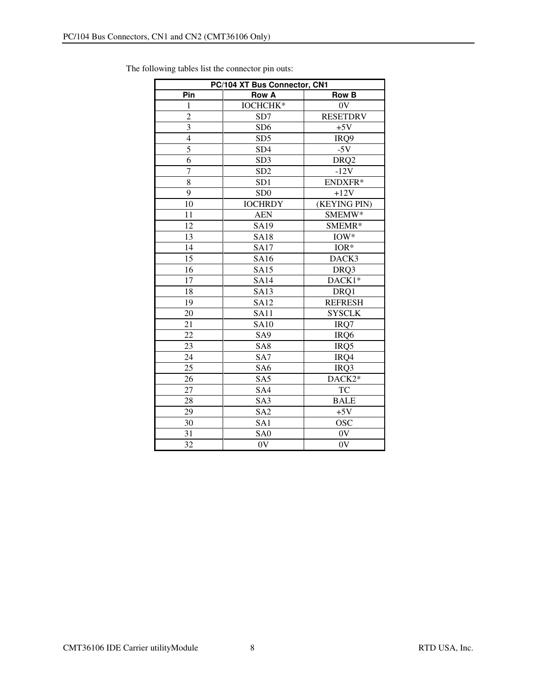| PC/104 XT Bus Connector, CN1 |                 |                  |  |
|------------------------------|-----------------|------------------|--|
| Pin                          | <b>Row A</b>    | <b>Row B</b>     |  |
| $\mathbf{1}$                 | <b>ІОСНСНК*</b> | 0V               |  |
| $\overline{c}$               | SD7             | <b>RESETDRV</b>  |  |
| 3                            | SD <sub>6</sub> | $+5V$            |  |
| $\overline{4}$               | SD <sub>5</sub> | IRQ9             |  |
| 5                            | SD <sub>4</sub> | $-5V$            |  |
| 6                            | SD <sub>3</sub> | DRQ <sub>2</sub> |  |
| $\overline{7}$               | SD <sub>2</sub> | $-12V$           |  |
| 8                            | SD <sub>1</sub> | ENDXFR*          |  |
| 9                            | SD <sub>0</sub> | $+12V$           |  |
| 10                           | <b>IOCHRDY</b>  | (KEYING PIN)     |  |
| 11                           | <b>AEN</b>      | SMEMW*           |  |
| 12                           | SA19            | SMEMR*           |  |
| 13                           | <b>SA18</b>     | $IOW*$           |  |
| 14                           | <b>SA17</b>     | $IOR*$           |  |
| 15                           | SA16            | DACK3            |  |
| 16                           | <b>SA15</b>     | DRQ3             |  |
| 17                           | <b>SA14</b>     | DACK1*           |  |
| 18                           | <b>SA13</b>     | DRQ1             |  |
| 19                           | SA12            | <b>REFRESH</b>   |  |
| 20                           | <b>SA11</b>     | <b>SYSCLK</b>    |  |
| 21                           | <b>SA10</b>     | IRQ7             |  |
| 22                           | SA <sub>9</sub> | IRQ6             |  |
| 23                           | SA <sub>8</sub> | IRQ5             |  |
| 24                           | SA7             | IRQ4             |  |
| 25                           | SA <sub>6</sub> | IRQ3             |  |
| 26                           | SA5             | DACK2*           |  |
| 27                           | SA4             | <b>TC</b>        |  |
| 28                           | SA3             | <b>BALE</b>      |  |
| 29                           | SA <sub>2</sub> | $+5V$            |  |
| 30                           | SA <sub>1</sub> | <b>OSC</b>       |  |
| 31                           | SA <sub>0</sub> | 0V               |  |
| 32                           | 0V              | 0V               |  |

The following tables list the connector pin outs: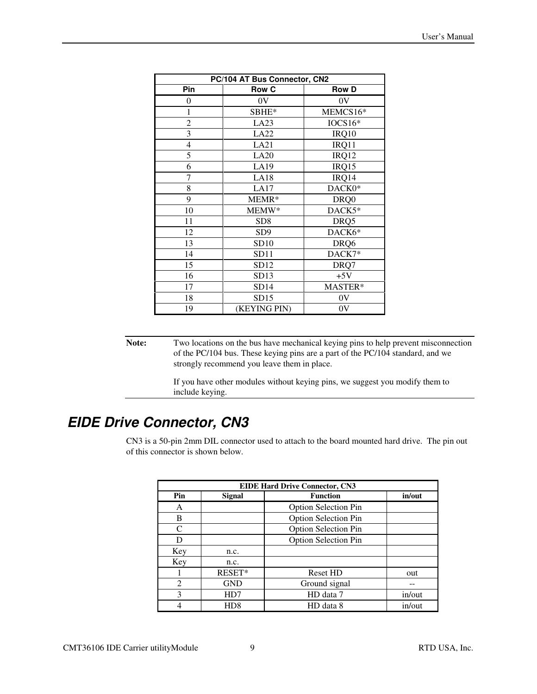| PC/104 AT Bus Connector, CN2 |                 |              |  |
|------------------------------|-----------------|--------------|--|
| Pin                          | <b>Row C</b>    | <b>Row D</b> |  |
| 0                            | 0V              | 0V           |  |
| $\mathbf{1}$                 | SBHE*           | MEMCS16*     |  |
| $\overline{2}$               | LA23            | $IOCS16*$    |  |
| 3                            | LA22            | IRQ10        |  |
| 4                            | LA21            | IRQ11        |  |
| 5                            | LA20            | IRQ12        |  |
| 6                            | LA19            | IRQ15        |  |
| 7                            | <b>LA18</b>     | IRQ14        |  |
| 8                            | LA17            | DACK0*       |  |
| 9                            | MEMR*           | DRQ0         |  |
| 10                           | MEMW*           | DACK5*       |  |
| 11                           | SD <sub>8</sub> | DRQ5         |  |
| 12                           | SD <sub>9</sub> | DACK6*       |  |
| 13                           | SD10            | DRQ6         |  |
| 14                           | SD11            | DACK7*       |  |
| 15                           | SD12            | DRQ7         |  |
| 16                           | SD13            | $+5V$        |  |
| 17                           | SD14            | MASTER*      |  |
| 18                           | SD15            | 0V           |  |
| 19                           | (KEYING PIN)    | 0V           |  |

**Note:** Two locations on the bus have mechanical keying pins to help prevent misconnection of the PC/104 bus. These keying pins are a part of the PC/104 standard, and we strongly recommend you leave them in place.

> If you have other modules without keying pins, we suggest you modify them to include keying.

# *EIDE Drive Connector, CN3*

CN3 is a 50-pin 2mm DIL connector used to attach to the board mounted hard drive. The pin out of this connector is shown below.

| <b>EIDE Hard Drive Connector, CN3</b> |                  |                             |        |
|---------------------------------------|------------------|-----------------------------|--------|
| Pin                                   | <b>Signal</b>    | <b>Function</b>             | in/out |
| A                                     |                  | <b>Option Selection Pin</b> |        |
| B                                     |                  | <b>Option Selection Pin</b> |        |
| C                                     |                  | <b>Option Selection Pin</b> |        |
| D                                     |                  | <b>Option Selection Pin</b> |        |
| Key                                   | n.c.             |                             |        |
| Key                                   | n.c.             |                             |        |
|                                       | RESET*           | <b>Reset HD</b>             | out    |
| $\mathcal{D}_{\mathcal{L}}$           | <b>GND</b>       | Ground signal               |        |
| 3                                     | H <sub>D</sub> 7 | HD data 7                   | in/out |
|                                       | HD8              | HD data 8                   | in/out |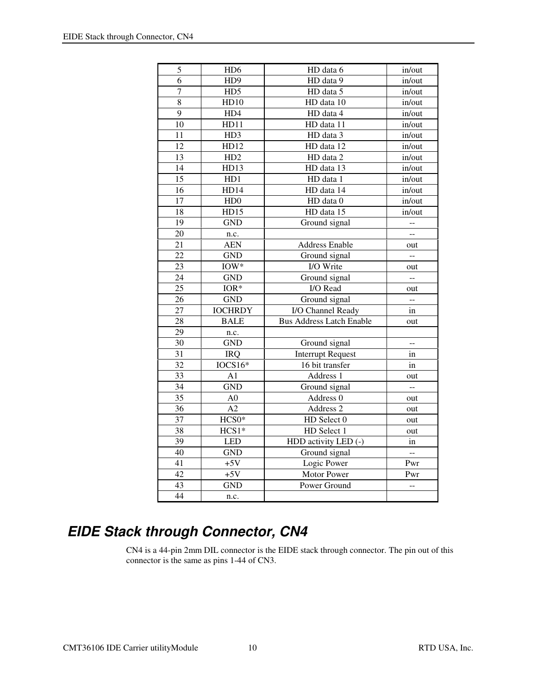| 5               | H <sub>D</sub> 6 | HD data 6                       | in/out                    |
|-----------------|------------------|---------------------------------|---------------------------|
| $\overline{6}$  | HD <sub>9</sub>  | HD data 9                       | in/out                    |
| $\overline{7}$  | HD5              | HD data 5                       | in/out                    |
| $\overline{8}$  | HD10             | HD data 10                      | in/out                    |
| $\overline{9}$  | HD4              | HD data 4                       | in/out                    |
| 10              | HD11             | HD data 11                      | in/out                    |
| 11              | HD <sub>3</sub>  | HD data 3                       | in/out                    |
| 12              | HD12             | HD data 12                      | in/out                    |
| 13              | HD2              | HD data 2                       | in/out                    |
| 14              | HD13             | HD data 13                      | in/out                    |
| 15              | HD1              | HD data 1                       | in/out                    |
| 16              | HD14             | HD data 14                      | in/out                    |
| 17              | HD0              | HD data 0                       | in/out                    |
| 18              | HD15             | HD data 15                      | in/out                    |
| 19              | <b>GND</b>       | Ground signal                   | $\overline{a}$            |
| 20              | n.c.             |                                 | $\overline{a}$            |
| 21              | <b>AEN</b>       | <b>Address Enable</b>           | out                       |
| 22              | <b>GND</b>       | Ground signal                   | $\overline{a}$            |
| 23              | $IOW*$           | I/O Write                       | out                       |
| 24              | <b>GND</b>       | Ground signal                   | $\overline{a}$            |
| 25              | $IOR*$           | I/O Read                        | out                       |
| 26              | <b>GND</b>       | Ground signal                   | $\overline{a}$            |
| 27              | <b>IOCHRDY</b>   | I/O Channel Ready               | in                        |
| 28              | <b>BALE</b>      | <b>Bus Address Latch Enable</b> | out                       |
| 29              | n.c.             |                                 |                           |
| 30              | <b>GND</b>       | Ground signal                   |                           |
| $\overline{31}$ | <b>IRQ</b>       | <b>Interrupt Request</b>        | in                        |
| 32              | IOCS16*          | 16 bit transfer                 | in                        |
| 33              | A1               | Address 1                       | out                       |
| 34              | <b>GND</b>       | Ground signal                   | $\mathbb{H}^{\mathbb{Z}}$ |
| $\overline{35}$ | A <sub>0</sub>   | Address 0                       | out                       |
| $\overline{36}$ | A2               | Address 2                       | out                       |
| 37              | HCS0*            | HD Select 0                     | out                       |
| 38              | HCS1*            | HD Select 1                     | out                       |
| 39              | <b>LED</b>       | HDD activity LED (-)            | in                        |
| 40              | <b>GND</b>       | Ground signal                   | LL.                       |
| 41              | $+5V$            | Logic Power                     | Pwr                       |
| 42              | $+5V$            | Motor Power                     | Pwr                       |
| 43              | <b>GND</b>       | Power Ground                    | --                        |
| 44              | n.c.             |                                 |                           |

# *EIDE Stack through Connector, CN4*

CN4 is a 44-pin 2mm DIL connector is the EIDE stack through connector. The pin out of this connector is the same as pins 1-44 of CN3.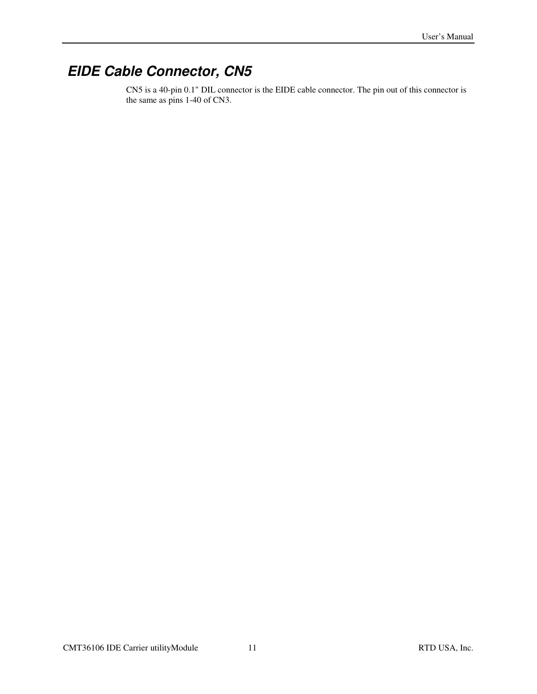# *EIDE Cable Connector, CN5*

CN5 is a 40-pin 0.1" DIL connector is the EIDE cable connector. The pin out of this connector is the same as pins 1-40 of CN3.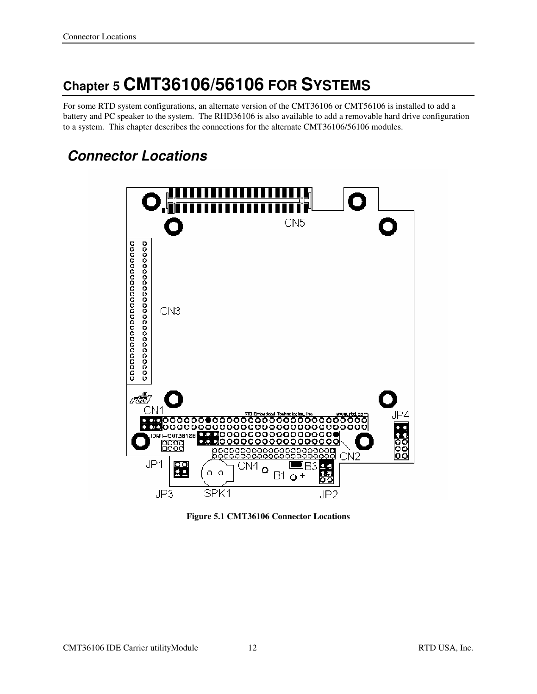# **Chapter 5 CMT36106/56106 FOR SYSTEMS**

For some RTD system configurations, an alternate version of the CMT36106 or CMT56106 is installed to add a battery and PC speaker to the system. The RHD36106 is also available to add a removable hard drive configuration to a system. This chapter describes the connections for the alternate CMT36106/56106 modules.

# *Connector Locations*



**Figure 5.1 CMT36106 Connector Locations**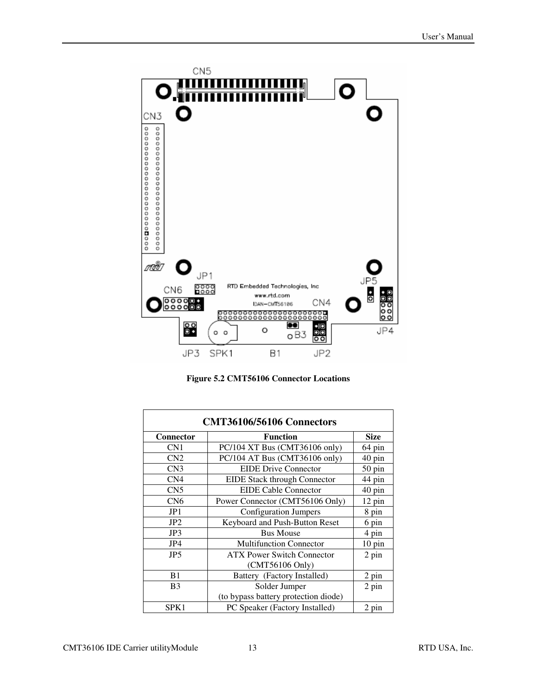

**Figure 5.2 CMT56106 Connector Locations**

| <b>CMT36106/56106 Connectors</b> |                                      |                     |  |
|----------------------------------|--------------------------------------|---------------------|--|
| <b>Connector</b>                 | <b>Function</b>                      | <b>Size</b>         |  |
| CN <sub>1</sub>                  | PC/104 XT Bus (CMT36106 only)        | 64 pin              |  |
| CN2                              | PC/104 AT Bus (CMT36106 only)        | $40 \,\mathrm{pin}$ |  |
| CN <sub>3</sub>                  | <b>EIDE Drive Connector</b>          | $50 \,\mathrm{pin}$ |  |
| CN <sub>4</sub>                  | EIDE Stack through Connector         | 44 pin              |  |
| CN <sub>5</sub>                  | <b>EIDE Cable Connector</b>          | $40 \,\mathrm{pin}$ |  |
| CN6                              | Power Connector (CMT56106 Only)      | $12 \text{ pin}$    |  |
| JP1                              | <b>Configuration Jumpers</b>         | 8 pin               |  |
| JP2                              | Keyboard and Push-Button Reset       | 6 pin               |  |
| JP3                              | <b>Bus Mouse</b>                     | 4 pin               |  |
| JP4                              | <b>Multifunction Connector</b>       | $10 \text{ pin}$    |  |
| JP <sub>5</sub>                  | <b>ATX Power Switch Connector</b>    | 2 pin               |  |
|                                  | $(CMT56106$ Only)                    |                     |  |
| B1                               | Battery (Factory Installed)          | 2 pin               |  |
| B <sub>3</sub>                   | Solder Jumper                        | 2 pin               |  |
|                                  | (to bypass battery protection diode) |                     |  |
| SPK1                             | PC Speaker (Factory Installed)       | 2 pin               |  |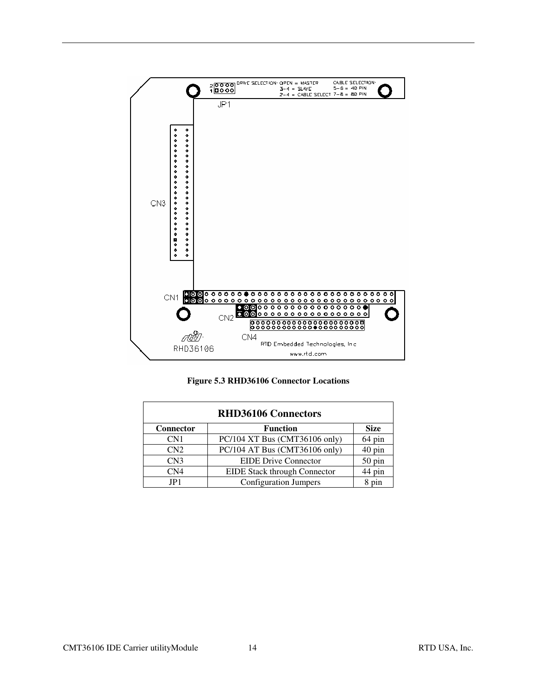

**Figure 5.3 RHD36106 Connector Locations**

| <b>RHD36106 Connectors</b> |                                     |                  |  |
|----------------------------|-------------------------------------|------------------|--|
| <b>Connector</b>           | <b>Function</b>                     | <b>Size</b>      |  |
| CN <sub>1</sub>            | PC/104 XT Bus (CMT36106 only)       | 64 pin           |  |
| CN2                        | PC/104 AT Bus (CMT36106 only)       | $40 \text{ pin}$ |  |
| CN <sub>3</sub>            | <b>EIDE Drive Connector</b>         | 50 pin           |  |
| CN <sub>4</sub>            | <b>EIDE Stack through Connector</b> | 44 pin           |  |
| IP <sub>1</sub>            | <b>Configuration Jumpers</b>        | pin              |  |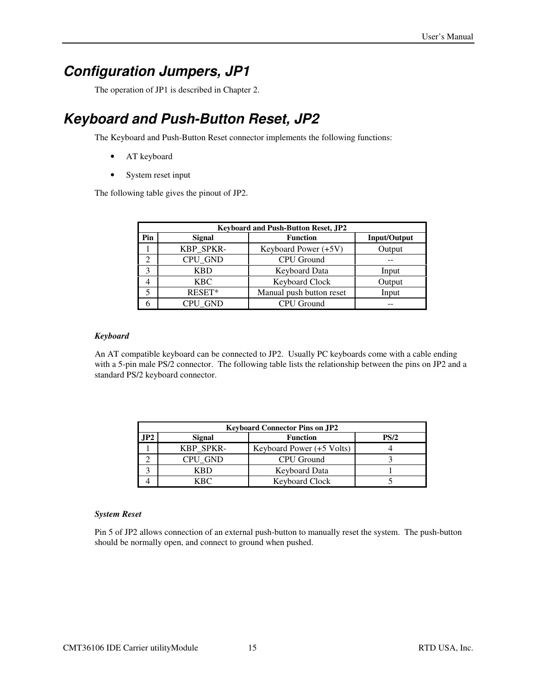# *Configuration Jumpers, JP1*

The operation of JP1 is described in Chapter 2.

# *Keyboard and Push-Button Reset, JP2*

The Keyboard and Push-Button Reset connector implements the following functions:

- AT keyboard
- System reset input

The following table gives the pinout of JP2.

|     | <b>Keyboard and Push-Button Reset, JP2</b> |                          |                     |  |  |
|-----|--------------------------------------------|--------------------------|---------------------|--|--|
| Pin | <b>Signal</b>                              | <b>Function</b>          | <b>Input/Output</b> |  |  |
|     | KBP_SPKR-                                  | Keyboard Power (+5V)     | Output              |  |  |
| 2   | <b>CPU GND</b>                             | <b>CPU</b> Ground        |                     |  |  |
|     | <b>KBD</b>                                 | Keyboard Data            | Input               |  |  |
|     | KBC.                                       | Keyboard Clock           | Output              |  |  |
|     | RESET*                                     | Manual push button reset | Input               |  |  |
|     | <b>CPU GND</b>                             | CPU Ground               |                     |  |  |

#### *Keyboard*

An AT compatible keyboard can be connected to JP2. Usually PC keyboards come with a cable ending with a 5-pin male PS/2 connector. The following table lists the relationship between the pins on JP2 and a standard PS/2 keyboard connector.

|     | <b>Keyboard Connector Pins on JP2</b> |                           |             |  |
|-----|---------------------------------------|---------------------------|-------------|--|
| IP2 | Signal                                | <b>Function</b>           | <b>PS/2</b> |  |
|     | <b>KBP SPKR-</b>                      | Keyboard Power (+5 Volts) |             |  |
|     | CPU GND                               | CPU Ground                |             |  |
|     | KRD                                   | Keyboard Data             |             |  |
|     | TRC.                                  | <b>Keyboard Clock</b>     |             |  |

#### *System Reset*

Pin 5 of JP2 allows connection of an external push-button to manually reset the system. The push-button should be normally open, and connect to ground when pushed.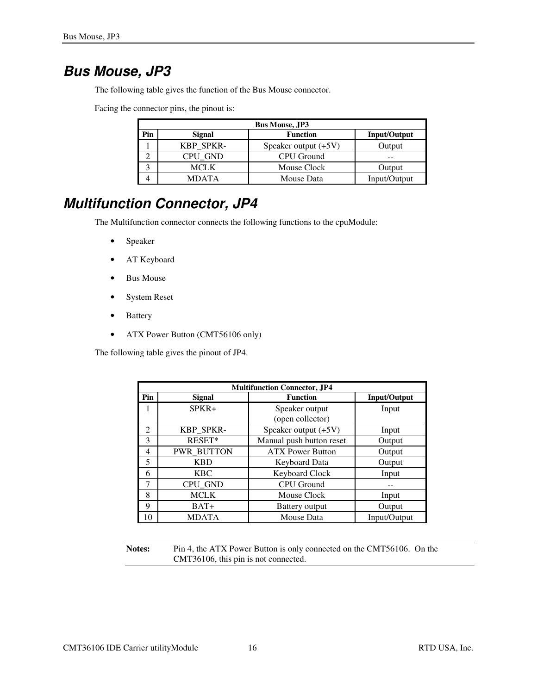### *Bus Mouse, JP3*

The following table gives the function of the Bus Mouse connector.

Facing the connector pins, the pinout is:

|     | <b>Bus Mouse, JP3</b> |                        |              |  |
|-----|-----------------------|------------------------|--------------|--|
| Pin | <b>Signal</b>         | <b>Function</b>        | Input/Output |  |
|     | <b>KBP SPKR-</b>      | Speaker output $(+5V)$ | Output       |  |
|     | <b>CPU GND</b>        | CPU Ground             |              |  |
|     | <b>MCLK</b>           | Mouse Clock            | Output       |  |
|     | <b>MDATA</b>          | Mouse Data             | Input/Output |  |

# *Multifunction Connector, JP4*

The Multifunction connector connects the following functions to the cpuModule:

- Speaker
- AT Keyboard
- Bus Mouse
- System Reset
- Battery
- ATX Power Button (CMT56106 only)

The following table gives the pinout of JP4.

|                             | <b>Multifunction Connector, JP4</b> |                                    |                     |  |
|-----------------------------|-------------------------------------|------------------------------------|---------------------|--|
| Pin                         | <b>Signal</b>                       | <b>Function</b>                    | <b>Input/Output</b> |  |
| 1                           | $SPKR+$                             | Speaker output<br>(open collector) | Input               |  |
| $\mathcal{D}_{\mathcal{L}}$ | KBP_SPKR-                           | Speaker output $(+5V)$             | Input               |  |
| $\mathcal{R}$               | RESET*                              | Manual push button reset           | Output              |  |
| 4                           | <b>PWR BUTTON</b>                   | <b>ATX Power Button</b>            | Output              |  |
| 5                           | <b>KBD</b>                          | Keyboard Data                      | Output              |  |
| 6                           | <b>KBC</b>                          | Keyboard Clock                     | Input               |  |
| 7                           | CPU_GND                             | <b>CPU</b> Ground                  |                     |  |
| 8                           | <b>MCLK</b>                         | Mouse Clock                        | Input               |  |
| 9                           | $BAT+$                              | <b>Battery output</b>              | Output              |  |
| 10                          | <b>MDATA</b>                        | Mouse Data                         | Input/Output        |  |

**Notes:** Pin 4, the ATX Power Button is only connected on the CMT56106. On the CMT36106, this pin is not connected.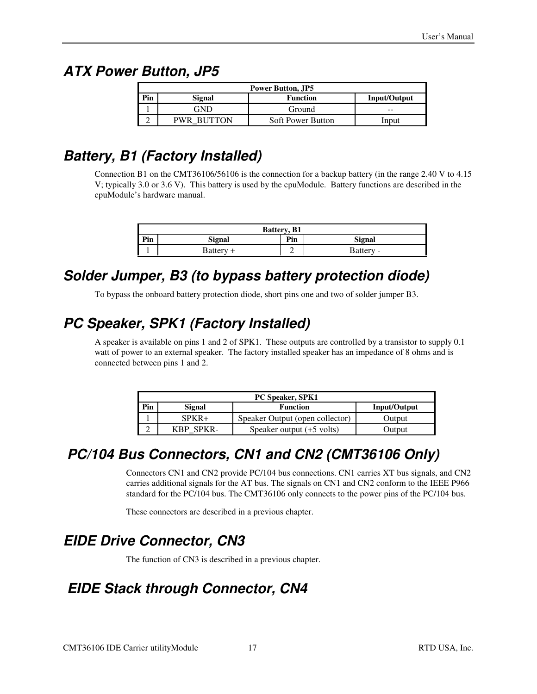### *ATX Power Button, JP5*

| <b>Power Button, JP5</b> |                                           |                          |       |
|--------------------------|-------------------------------------------|--------------------------|-------|
| Pin                      | Signal<br>Input/Output<br><b>Function</b> |                          |       |
|                          | GND                                       | Ground                   | --    |
|                          | <b>PWR BUTTON</b>                         | <b>Soft Power Button</b> | lnput |

# *Battery, B1 (Factory Installed)*

Connection B1 on the CMT36106/56106 is the connection for a backup battery (in the range 2.40 V to 4.15 V; typically 3.0 or 3.6 V). This battery is used by the cpuModule. Battery functions are described in the cpuModule's hardware manual.

| Battery, B1 |           |     |               |
|-------------|-----------|-----|---------------|
| Pin         | Signal    | Pin | <b>Signal</b> |
|             | Battery + |     | Battery -     |

# *Solder Jumper, B3 (to bypass battery protection diode)*

To bypass the onboard battery protection diode, short pins one and two of solder jumper B3.

# *PC Speaker, SPK1 (Factory Installed)*

A speaker is available on pins 1 and 2 of SPK1. These outputs are controlled by a transistor to supply 0.1 watt of power to an external speaker. The factory installed speaker has an impedance of 8 ohms and is connected between pins 1 and 2.

|     | PC Speaker, SPK1 |                                     |              |  |
|-----|------------------|-------------------------------------|--------------|--|
| Pin | Signal           | <b>Function</b>                     | Input/Output |  |
|     | $SPKR+$          | Speaker Output (open collector)     | Output       |  |
|     | <b>KBP SPKR-</b> | Speaker output $(+5 \text{ volts})$ | Output       |  |

# *PC/104 Bus Connectors, CN1 and CN2 (CMT36106 Only)*

Connectors CN1 and CN2 provide PC/104 bus connections. CN1 carries XT bus signals, and CN2 carries additional signals for the AT bus. The signals on CN1 and CN2 conform to the IEEE P966 standard for the PC/104 bus. The CMT36106 only connects to the power pins of the PC/104 bus.

These connectors are described in a previous chapter.

## *EIDE Drive Connector, CN3*

The function of CN3 is described in a previous chapter.

# *EIDE Stack through Connector, CN4*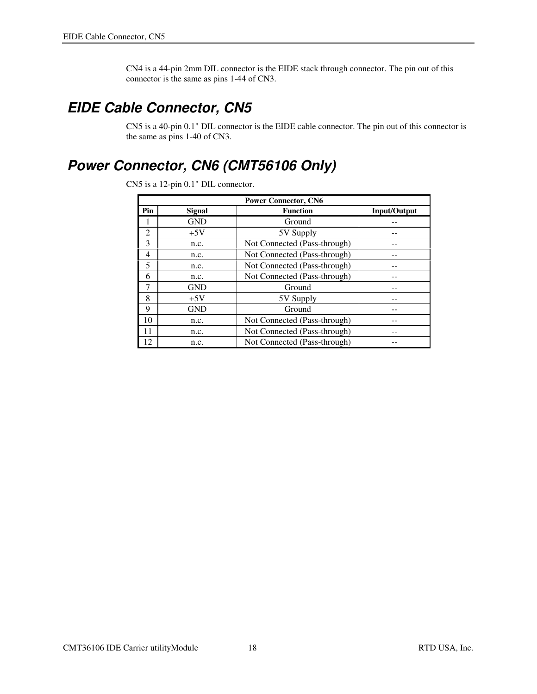CN4 is a 44-pin 2mm DIL connector is the EIDE stack through connector. The pin out of this connector is the same as pins 1-44 of CN3.

# *EIDE Cable Connector, CN5*

CN5 is a 40-pin 0.1" DIL connector is the EIDE cable connector. The pin out of this connector is the same as pins 1-40 of CN3.

# *Power Connector, CN6 (CMT56106 Only)*

CN5 is a 12-pin 0.1" DIL connector.

| <b>Power Connector, CN6</b> |            |                              |              |
|-----------------------------|------------|------------------------------|--------------|
| Pin                         | Signal     | <b>Function</b>              | Input/Output |
|                             | <b>GND</b> | Ground                       |              |
| 2                           | $+5V$      | 5V Supply                    |              |
| 3                           | n.c.       | Not Connected (Pass-through) |              |
| 4                           | n.c.       | Not Connected (Pass-through) |              |
| 5                           | n.c.       | Not Connected (Pass-through) |              |
| 6                           | n.c.       | Not Connected (Pass-through) |              |
| 7                           | <b>GND</b> | Ground                       |              |
| 8                           | $+5V$      | 5V Supply                    |              |
| 9                           | <b>GND</b> | Ground                       |              |
| 10                          | n.c.       | Not Connected (Pass-through) |              |
| 11                          | n.c.       | Not Connected (Pass-through) |              |
| 12                          | n.c.       | Not Connected (Pass-through) |              |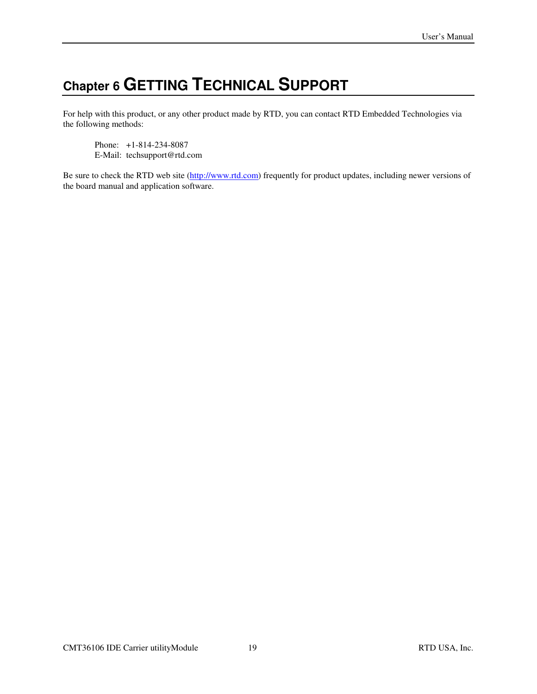# **Chapter 6 GETTING TECHNICAL SUPPORT**

For help with this product, or any other product made by RTD, you can contact RTD Embedded Technologies via the following methods:

Phone: +1-814-234-8087 E-Mail: techsupport@rtd.com

Be sure to check the RTD web site (http://www.rtd.com) frequently for product updates, including newer versions of the board manual and application software.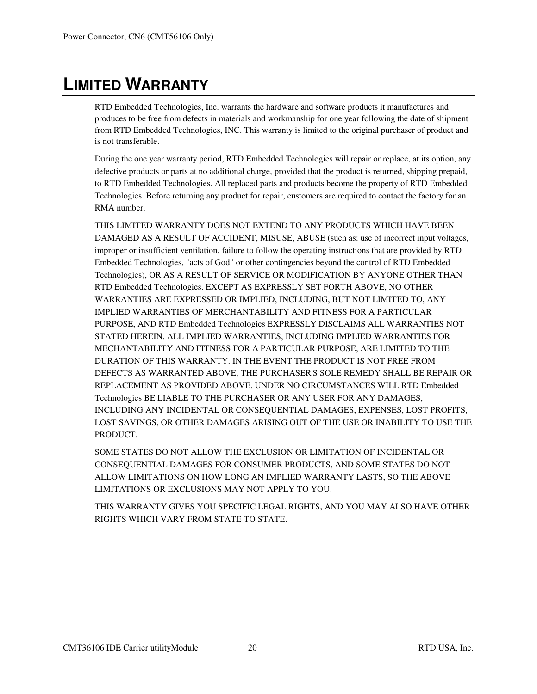# **LIMITED WARRANTY**

RTD Embedded Technologies, Inc. warrants the hardware and software products it manufactures and produces to be free from defects in materials and workmanship for one year following the date of shipment from RTD Embedded Technologies, INC. This warranty is limited to the original purchaser of product and is not transferable.

During the one year warranty period, RTD Embedded Technologies will repair or replace, at its option, any defective products or parts at no additional charge, provided that the product is returned, shipping prepaid, to RTD Embedded Technologies. All replaced parts and products become the property of RTD Embedded Technologies. Before returning any product for repair, customers are required to contact the factory for an RMA number.

THIS LIMITED WARRANTY DOES NOT EXTEND TO ANY PRODUCTS WHICH HAVE BEEN DAMAGED AS A RESULT OF ACCIDENT, MISUSE, ABUSE (such as: use of incorrect input voltages, improper or insufficient ventilation, failure to follow the operating instructions that are provided by RTD Embedded Technologies, "acts of God" or other contingencies beyond the control of RTD Embedded Technologies), OR AS A RESULT OF SERVICE OR MODIFICATION BY ANYONE OTHER THAN RTD Embedded Technologies. EXCEPT AS EXPRESSLY SET FORTH ABOVE, NO OTHER WARRANTIES ARE EXPRESSED OR IMPLIED, INCLUDING, BUT NOT LIMITED TO, ANY IMPLIED WARRANTIES OF MERCHANTABILITY AND FITNESS FOR A PARTICULAR PURPOSE, AND RTD Embedded Technologies EXPRESSLY DISCLAIMS ALL WARRANTIES NOT STATED HEREIN. ALL IMPLIED WARRANTIES, INCLUDING IMPLIED WARRANTIES FOR MECHANTABILITY AND FITNESS FOR A PARTICULAR PURPOSE, ARE LIMITED TO THE DURATION OF THIS WARRANTY. IN THE EVENT THE PRODUCT IS NOT FREE FROM DEFECTS AS WARRANTED ABOVE, THE PURCHASER'S SOLE REMEDY SHALL BE REPAIR OR REPLACEMENT AS PROVIDED ABOVE. UNDER NO CIRCUMSTANCES WILL RTD Embedded Technologies BE LIABLE TO THE PURCHASER OR ANY USER FOR ANY DAMAGES, INCLUDING ANY INCIDENTAL OR CONSEQUENTIAL DAMAGES, EXPENSES, LOST PROFITS, LOST SAVINGS, OR OTHER DAMAGES ARISING OUT OF THE USE OR INABILITY TO USE THE PRODUCT.

SOME STATES DO NOT ALLOW THE EXCLUSION OR LIMITATION OF INCIDENTAL OR CONSEQUENTIAL DAMAGES FOR CONSUMER PRODUCTS, AND SOME STATES DO NOT ALLOW LIMITATIONS ON HOW LONG AN IMPLIED WARRANTY LASTS, SO THE ABOVE LIMITATIONS OR EXCLUSIONS MAY NOT APPLY TO YOU.

THIS WARRANTY GIVES YOU SPECIFIC LEGAL RIGHTS, AND YOU MAY ALSO HAVE OTHER RIGHTS WHICH VARY FROM STATE TO STATE.